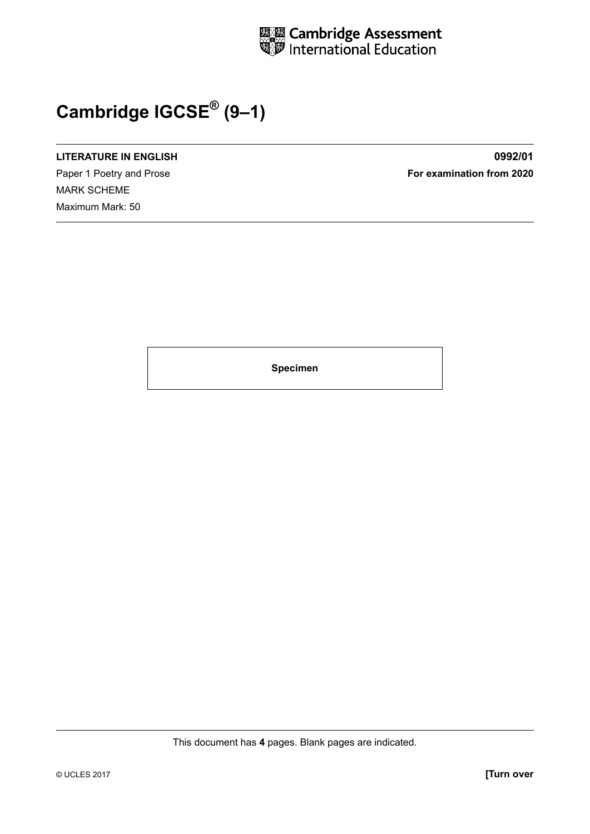

## **Cambridge IGCSE® (9–1)**

## **LITERATURE IN ENGLISH 0992/01**

MARK SCHEME Maximum Mark: 50

Paper 1 Poetry and Prose **For examination from 2020** 

**Specimen**

This document has **4** pages. Blank pages are indicated.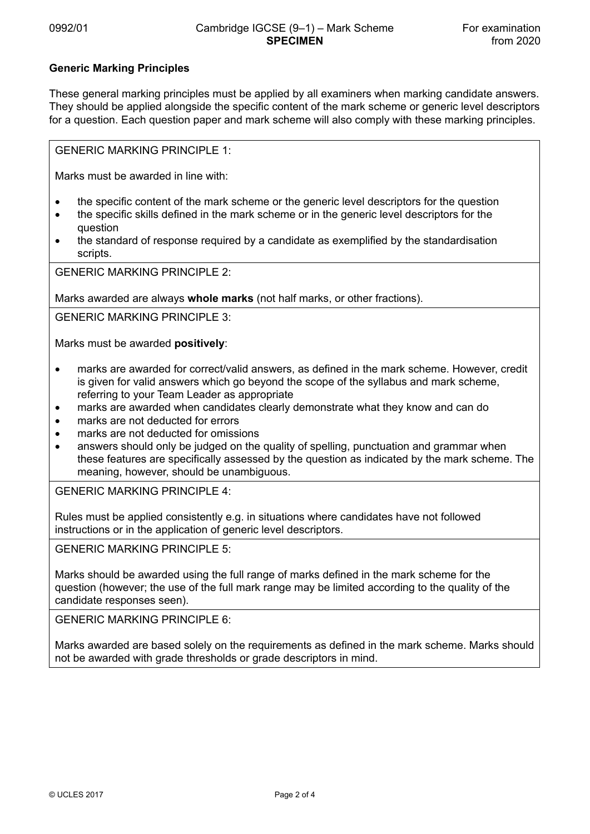## **Generic Marking Principles**

These general marking principles must be applied by all examiners when marking candidate answers. They should be applied alongside the specific content of the mark scheme or generic level descriptors for a question. Each question paper and mark scheme will also comply with these marking principles.

GENERIC MARKING PRINCIPLE 1:

Marks must be awarded in line with:

- the specific content of the mark scheme or the generic level descriptors for the question
- the specific skills defined in the mark scheme or in the generic level descriptors for the question
- the standard of response required by a candidate as exemplified by the standardisation scripts.

GENERIC MARKING PRINCIPLE 2:

Marks awarded are always **whole marks** (not half marks, or other fractions).

GENERIC MARKING PRINCIPLE 3:

Marks must be awarded **positively**:

- marks are awarded for correct/valid answers, as defined in the mark scheme. However, credit is given for valid answers which go beyond the scope of the syllabus and mark scheme, referring to your Team Leader as appropriate
- marks are awarded when candidates clearly demonstrate what they know and can do
- marks are not deducted for errors
- marks are not deducted for omissions
- answers should only be judged on the quality of spelling, punctuation and grammar when these features are specifically assessed by the question as indicated by the mark scheme. The meaning, however, should be unambiguous.

GENERIC MARKING PRINCIPLE 4:

Rules must be applied consistently e.g. in situations where candidates have not followed instructions or in the application of generic level descriptors.

GENERIC MARKING PRINCIPLE 5:

Marks should be awarded using the full range of marks defined in the mark scheme for the question (however; the use of the full mark range may be limited according to the quality of the candidate responses seen).

GENERIC MARKING PRINCIPLE 6:

Marks awarded are based solely on the requirements as defined in the mark scheme. Marks should not be awarded with grade thresholds or grade descriptors in mind.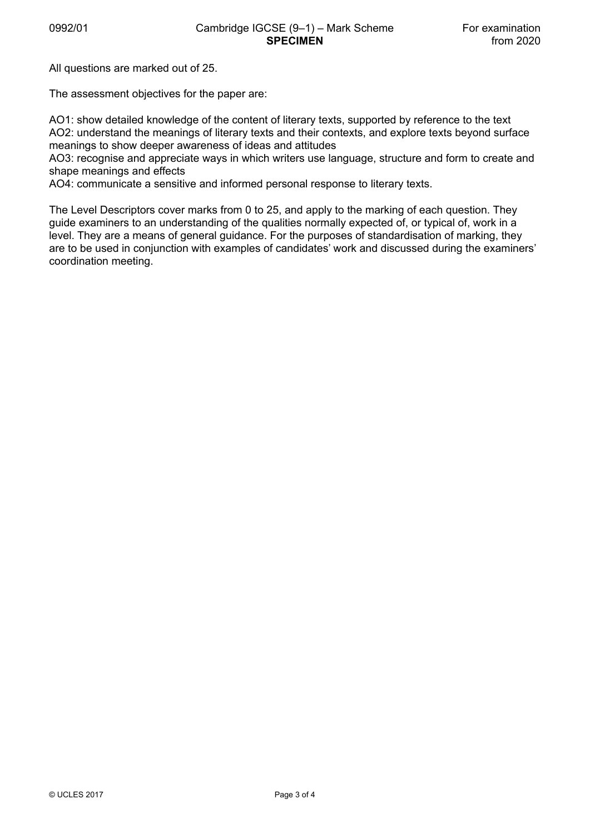All questions are marked out of 25.

The assessment objectives for the paper are:

AO1: show detailed knowledge of the content of literary texts, supported by reference to the text AO2: understand the meanings of literary texts and their contexts, and explore texts beyond surface meanings to show deeper awareness of ideas and attitudes

AO3: recognise and appreciate ways in which writers use language, structure and form to create and shape meanings and effects

AO4: communicate a sensitive and informed personal response to literary texts.

The Level Descriptors cover marks from 0 to 25, and apply to the marking of each question. They guide examiners to an understanding of the qualities normally expected of, or typical of, work in a level. They are a means of general guidance. For the purposes of standardisation of marking, they are to be used in conjunction with examples of candidates' work and discussed during the examiners' coordination meeting.